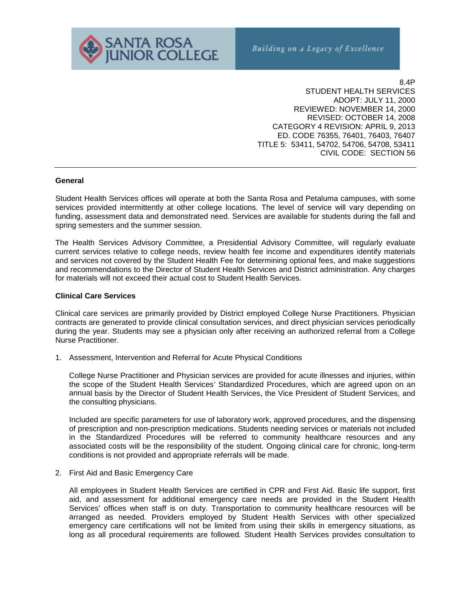

8.4P STUDENT HEALTH SERVICES ADOPT: JULY 11, 2000 REVIEWED: NOVEMBER 14, 2000 REVISED: OCTOBER 14, 2008 CATEGORY 4 REVISION: APRIL 9, 2013 ED. CODE 76355, 76401, 76403, 76407 TITLE 5: 53411, 54702, 54706, 54708, 53411 CIVIL CODE: SECTION 56

#### **General**

Student Health Services offices will operate at both the Santa Rosa and Petaluma campuses, with some services provided intermittently at other college locations. The level of service will vary depending on funding, assessment data and demonstrated need. Services are available for students during the fall and spring semesters and the summer session.

The Health Services Advisory Committee, a Presidential Advisory Committee, will regularly evaluate current services relative to college needs, review health fee income and expenditures identify materials and services not covered by the Student Health Fee for determining optional fees, and make suggestions and recommendations to the Director of Student Health Services and District administration. Any charges for materials will not exceed their actual cost to Student Health Services.

### **Clinical Care Services**

Clinical care services are primarily provided by District employed College Nurse Practitioners. Physician contracts are generated to provide clinical consultation services, and direct physician services periodically during the year. Students may see a physician only after receiving an authorized referral from a College Nurse Practitioner.

1. Assessment, Intervention and Referral for Acute Physical Conditions

College Nurse Practitioner and Physician services are provided for acute illnesses and injuries, within the scope of the Student Health Services' Standardized Procedures, which are agreed upon on an annual basis by the Director of Student Health Services, the Vice President of Student Services, and the consulting physicians.

 Included are specific parameters for use of laboratory work, approved procedures, and the dispensing of prescription and non-prescription medications. Students needing services or materials not included in the Standardized Procedures will be referred to community healthcare resources and any associated costs will be the responsibility of the student. Ongoing clinical care for chronic, long-term conditions is not provided and appropriate referrals will be made.

2. First Aid and Basic Emergency Care

 All employees in Student Health Services are certified in CPR and First Aid. Basic life support, first aid, and assessment for additional emergency care needs are provided in the Student Health Services' offices when staff is on duty. Transportation to community healthcare resources will be arranged as needed. Providers employed by Student Health Services with other specialized emergency care certifications will not be limited from using their skills in emergency situations, as long as all procedural requirements are followed*.* Student Health Services provides consultation to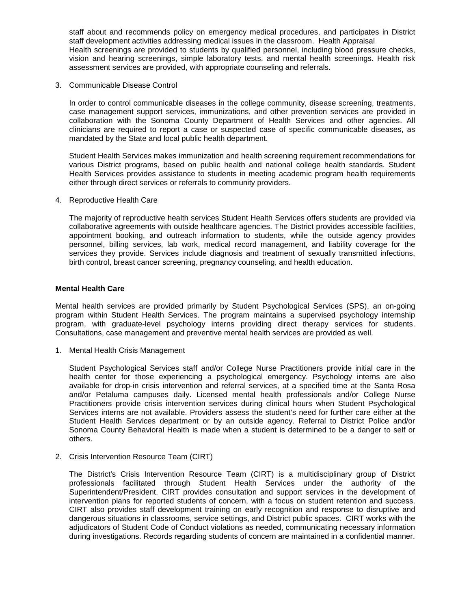staff about and recommends policy on emergency medical procedures, and participates in District staff development activities addressing medical issues in the classroom. Health Appraisal Health screenings are provided to students by qualified personnel, including blood pressure checks, vision and hearing screenings, simple laboratory tests. and mental health screenings. Health risk assessment services are provided, with appropriate counseling and referrals.

3. Communicable Disease Control

In order to control communicable diseases in the college community, disease screening, treatments, case management support services, immunizations, and other prevention services are provided in collaboration with the Sonoma County Department of Health Services and other agencies. All clinicians are required to report a case or suspected case of specific communicable diseases, as mandated by the State and local public health department.

Student Health Services makes immunization and health screening requirement recommendations for various District programs, based on public health and national college health standards. Student Health Services provides assistance to students in meeting academic program health requirements either through direct services or referrals to community providers.

4. Reproductive Health Care

The majority of reproductive health services Student Health Services offers students are provided via collaborative agreements with outside healthcare agencies. The District provides accessible facilities, appointment booking, and outreach information to students, while the outside agency provides personnel, billing services, lab work, medical record management, and liability coverage for the services they provide. Services include diagnosis and treatment of sexually transmitted infections, birth control, breast cancer screening, pregnancy counseling, and health education.

### **Mental Health Care**

Mental health services are provided primarily by Student Psychological Services (SPS), an on-going program within Student Health Services. The program maintains a supervised psychology internship program, with graduate-level psychology interns providing direct therapy services for students. Consultations, case management and preventive mental health services are provided as well.

1. Mental Health Crisis Management

Student Psychological Services staff and/or College Nurse Practitioners provide initial care in the health center for those experiencing a psychological emergency. Psychology interns are also available for drop-in crisis intervention and referral services, at a specified time at the Santa Rosa and/or Petaluma campuses daily. Licensed mental health professionals and/or College Nurse Practitioners provide crisis intervention services during clinical hours when Student Psychological Services interns are not available. Providers assess the student's need for further care either at the Student Health Services department or by an outside agency. Referral to District Police and/or Sonoma County Behavioral Health is made when a student is determined to be a danger to self or others.

2. Crisis Intervention Resource Team (CIRT)

The District's Crisis Intervention Resource Team (CIRT) is a multidisciplinary group of District professionals facilitated through Student Health Services under the authority of the Superintendent/President. CIRT provides consultation and support services in the development of intervention plans for reported students of concern, with a focus on student retention and success. CIRT also provides staff development training on early recognition and response to disruptive and dangerous situations in classrooms, service settings, and District public spaces. CIRT works with the adjudicators of Student Code of Conduct violations as needed, communicating necessary information during investigations. Records regarding students of concern are maintained in a confidential manner.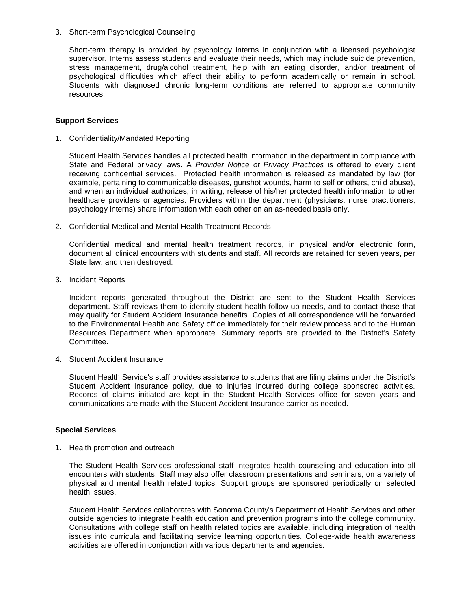# 3. Short-term Psychological Counseling

Short-term therapy is provided by psychology interns in conjunction with a licensed psychologist supervisor. Interns assess students and evaluate their needs, which may include suicide prevention, stress management, drug/alcohol treatment, help with an eating disorder, and/or treatment of psychological difficulties which affect their ability to perform academically or remain in school. Students with diagnosed chronic long-term conditions are referred to appropriate community resources.

### **Support Services**

1. Confidentiality/Mandated Reporting

Student Health Services handles all protected health information in the department in compliance with State and Federal privacy laws. A *Provider Notice of Privacy Practices* is offered to every client receiving confidential services. Protected health information is released as mandated by law (for example, pertaining to communicable diseases, gunshot wounds, harm to self or others, child abuse), and when an individual authorizes, in writing, release of his/her protected health information to other healthcare providers or agencies. Providers within the department (physicians, nurse practitioners, psychology interns) share information with each other on an as-needed basis only.

2. Confidential Medical and Mental Health Treatment Records

Confidential medical and mental health treatment records, in physical and/or electronic form, document all clinical encounters with students and staff. All records are retained for seven years, per State law, and then destroyed.

3. Incident Reports

 Incident reports generated throughout the District are sent to the Student Health Services department. Staff reviews them to identify student health follow-up needs, and to contact those that may qualify for Student Accident Insurance benefits. Copies of all correspondence will be forwarded to the Environmental Health and Safety office immediately for their review process and to the Human Resources Department when appropriate. Summary reports are provided to the District's Safety Committee.

4. Student Accident Insurance

 Student Health Service's staff provides assistance to students that are filing claims under the District's Student Accident Insurance policy, due to injuries incurred during college sponsored activities. Records of claims initiated are kept in the Student Health Services office for seven years and communications are made with the Student Accident Insurance carrier as needed.

# **Special Services**

1. Health promotion and outreach

The Student Health Services professional staff integrates health counseling and education into all encounters with students. Staff may also offer classroom presentations and seminars, on a variety of physical and mental health related topics. Support groups are sponsored periodically on selected health issues.

Student Health Services collaborates with Sonoma County's Department of Health Services and other outside agencies to integrate health education and prevention programs into the college community. Consultations with college staff on health related topics are available, including integration of health issues into curricula and facilitating service learning opportunities. College-wide health awareness activities are offered in conjunction with various departments and agencies.